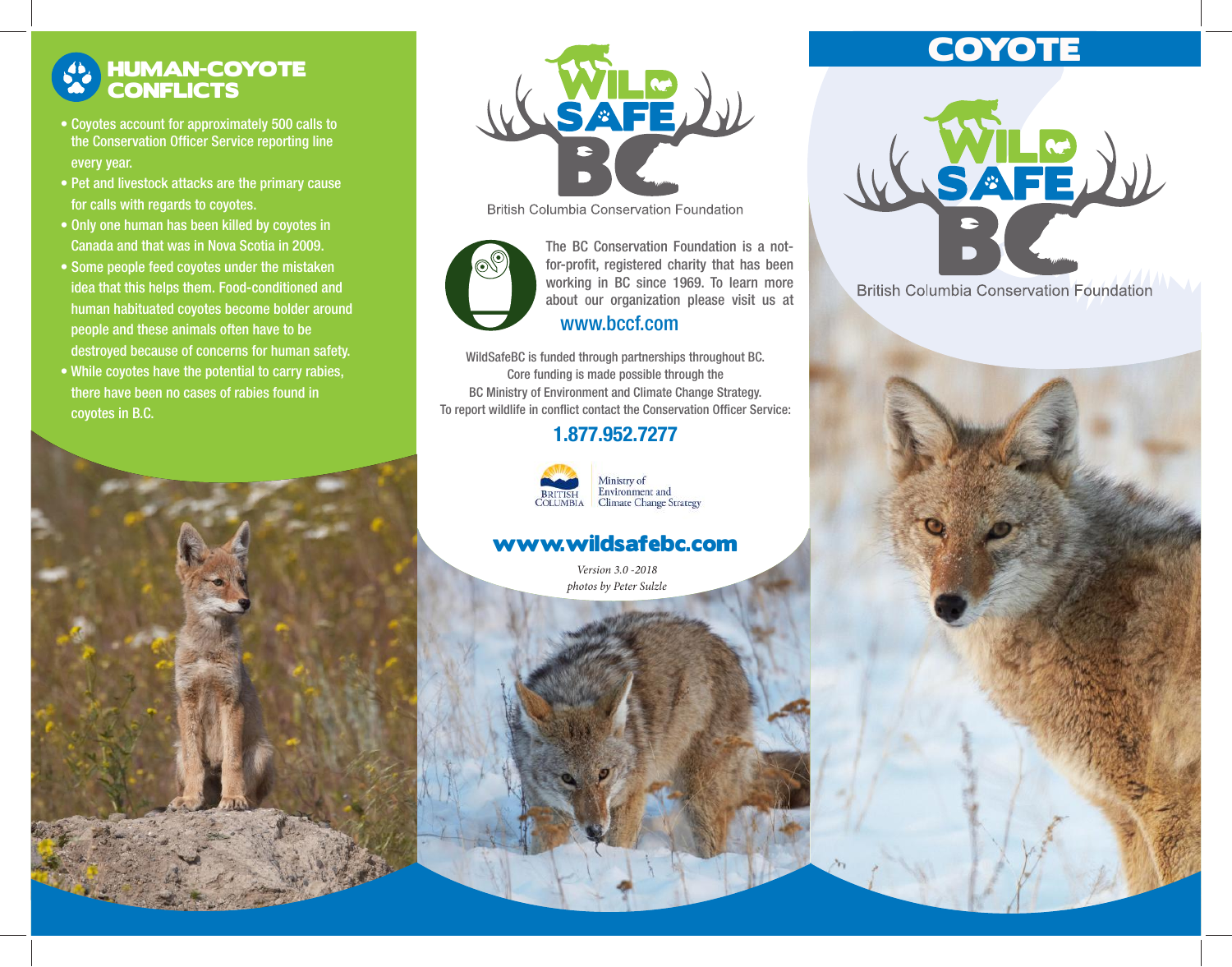## HUMAN-COYOTE **CONFLICTS**

- Coyotes account for approximately 500 calls to the Conservation Officer Service reporting line every year.
- Pet and livestock attacks are the primary cause for calls with regards to coyotes.
- Only one human has been killed by coyotes in Canada and that was in Nova Scotia in 2009.
- Some people feed coyotes under the mistaken idea that this helps them. Food-conditioned and human habituated coyotes become bolder around people and these animals often have to be destroyed because of concerns for human safety.
- While coyotes have the potential to carry rabies, there have been no cases of rabies found in coyotes in B.C.





**British Columbia Conservation Foundation** 



working in BC since 1969. To learn more about our organization please visit us at The BC Conservation Foundation is a notfor-profit, registered charity that has been www.bccf.com

WildSafeBC is funded through partnerships throughout BC. Core funding is made possible through the BC Ministry of Environment and Climate Change Strategy. To report wildlife in conflict contact the Conservation Officer Service:

### 1.877.952.7277



#### Ministry of Environment and **Climate Change Strategy**

### www.wildsafebc.com

*Version 3.0 -2018 photos by Peter Sulzle*

# **COYOTE**